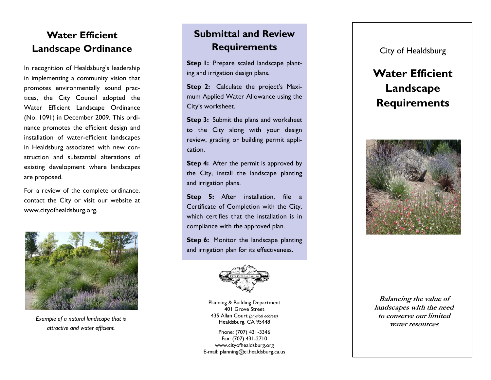#### **Water Efficient Landscape Ordinance**

In recognition of Healdsburg's leadership in implementing a community vision that promotes environmentally sound practices, the City Council adopted the Water Efficient Landscape Ordinance (No. 1091) in December 2009. This ordinance promotes the efficient design and installation of water-efficient landscapes in Healdsburg associated with new construction and substantial alterations of existing development where landscapes are proposed.

For a review of the complete ordinance, contact the City or visit our website at www.cityofhealdsburg.org.



*Example of a natural landscape that is attractive and water efficient.* 

## **Submittal and Review Requirements**

Step 1: Prepare scaled landscape planting and irrigation design plans.

**Step 2:** Calculate the project's Maximum Applied Water Allowance using the City's worksheet.

**Step 3:** Submit the plans and worksheet to the City along with your design review, grading or building permit application.

**Step 4:** After the permit is approved by the City, install the landscape planting and irrigation plans.

**Step 5:** After installation, file a Certificate of Completion with the City, which certifies that the installation is in compliance with the approved plan.

**Step 6:** Monitor the landscape planting and irrigation plan for its effectiveness.



Planning & Building Department 401 Grove Street 435 Allan Court *(physical address)*  Healdsburg, CA 95448

Phone: (707) 431-3346 Fax: (707) 431-2710 www.cityofhealdsburg.org E-mail: planning@ci.healdsburg.ca.us City of Healdsburg

# **Water Efficient Landscape Requirements**



**Balancing the value of landscapes with the need to conserve our limited water resources**